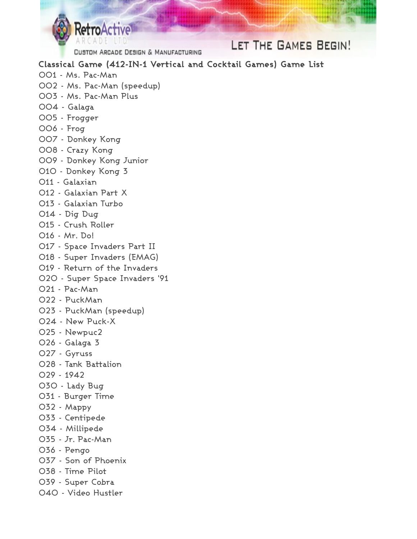LET THE GAMES BEGIN!

#### Classical Game (412-IN-1 Vertical and Cocktail Games) Game List

- 001 Ms. Pac-Man
- 002 Ms. Pac-Man (speedup)

RetroActive

- 003 Ms. Pac-Man Plus
- 004 Galaga
- 005 Frogger
- 006 Frog
- 007 Donkey Kong
- 008 Crazy Kong
- 009 Donkey Kong Junior
- 010 Donkey Kong 3
- 011 Galaxian
- 012 Galaxian Part X
- 013 Galaxian Turbo
- 014 Dig Dug
- 015 Crush Roller
- 016 Mr. Do!
- 017 Space Invaders Part II
- 018 Super Invaders (EMAG)
- 019 Return of the Invaders
- 020 Super Space Invaders '91
- 021 Pac-Man
- 022 PuckMan
- 023 PuckMan (speedup)
- 024 New Puck-X
- 025 Newpuc2
- 026 Galaga 3
- 027 Gyruss
- 028 Tank Battalion
- 029 1942
- 030 Lady Bug
- 031 Burger Time
- 032 Mappy
- 033 Centipede
- 034 Millipede
- 035 Jr. Pac-Man
- 036 Pengo
- 037 Son of Phoenix
- 038 Time Pilot
- 039 Super Cobra
- 040 Video Hustler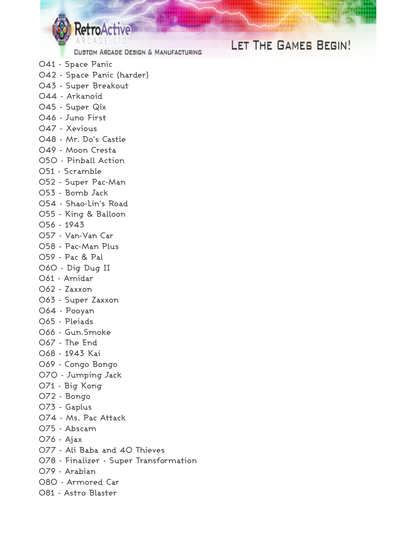CUSTOM ARCADE DESIGN & MANUFACTURING

- 041 Space Panic
- 042 Space Panic (harder)
- 043 Super Breakout
- 044 Arkanoid
- 045 Super Qix
- 046 Juno First
- 047 Xevious
- 048 Mr. Do's Castle
- 049 Moon Cresta
- 050 Pinball Action
- 051 Scramble
- 052 Super Pac-Man
- 053 Bomb Jack
- 054 Shao-Lin's Road
- 055 King & Balloon
- 056 1943
- 057 Van-Van Car
- 058 Pac-Man Plus
- 059 Pac & Pal
- 060 Dig Dug II
- 061 Amidar
- 062 Zaxxon
- 063 Super Zaxxon
- 064 Pooyan
- 065 Pleiads
- 066 Gun.Smoke
- 067 The End
- 068 1943 Kai
- 069 Congo Bongo
- 070 Jumping Jack
- 071 Big Kong
- 072 Bongo
- 073 Gaplus
- 074 Ms. Pac Attack
- 075 Abscam
- 076 Ajax
- 077 Ali Baba and 40 Thieves
- 078 Finalizer Super Transformation
- 079 Arabian
- 080 Armored Car
- 081 Astro Blaster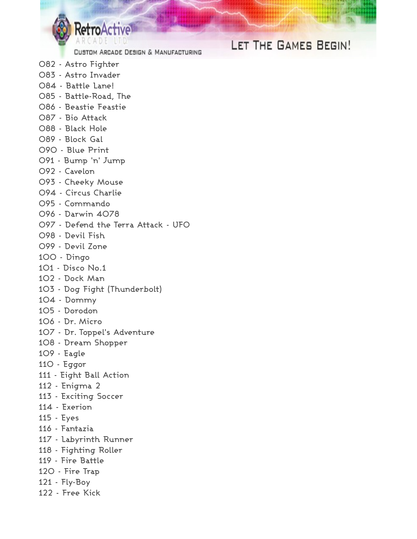CUSTOM ARCADE DESIGN & MANUFACTURING

- 082 Astro Fighter
- 083 Astro Invader
- 084 Battle Lane!
- 085 Battle-Road, The
- 086 Beastie Feastie
- 087 Bio Attack
- 088 Black Hole
- 089 Block Gal
- 090 Blue Print
- 091 Bump 'n' Jump
- 092 Cavelon
- 093 Cheeky Mouse
- 094 Circus Charlie
- 095 Commando
- 096 Darwin 4078
- 097 Defend the Terra Attack UFO
- 098 Devil Fish
- 099 Devil Zone
- 100 Dingo
- 101 Disco No.1
- 102 Dock Man
- 103 Dog Fight (Thunderbolt)
- 104 Dommy
- 105 Dorodon
- 106 Dr. Micro
- 107 Dr. Toppel's Adventure
- 108 Dream Shopper
- 109 Eagle
- 110 Eggor
- 111 Eight Ball Action
- 112 Enigma 2
- 113 Exciting Soccer
- 114 Exerion
- 115 Eyes
- 116 Fantazia
- 117 Labyrinth Runner
- 118 Fighting Roller
- 119 Fire Battle
- 120 Fire Trap
- 121 Fly-Boy
- 122 Free Kick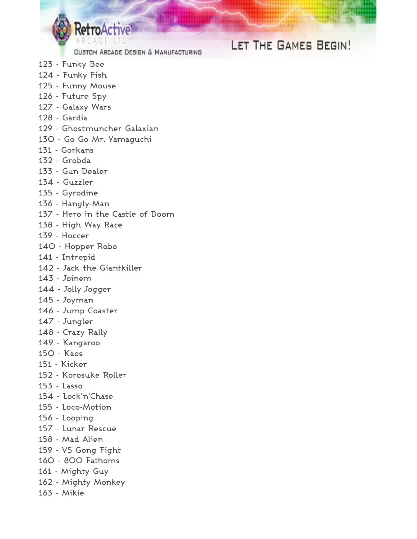

- 123 Funky Bee
- 124 Funky Fish
- 125 Funny Mouse
- 126 Future Spy
- 127 Galaxy Wars
- 128 Gardia
- 129 Ghostmuncher Galaxian
- 130 Go Go Mr. Yamaguchi
- 131 Gorkans
- 132 Grobda
- 133 Gun Dealer
- 134 Guzzler
- 135 Gyrodine
- 136 Hangly-Man
- 137 Hero in the Castle of Doom
- 138 High Way Race
- 139 Hoccer
- 140 Hopper Robo
- 141 Intrepid
- 142 Jack the Giantkiller
- 143 Joinem
- 144 Jolly Jogger
- 145 Joyman
- 146 Jump Coaster
- 147 Jungler
- 148 Crazy Rally
- 149 Kangaroo
- 150 Kaos
- 151 Kicker
- 152 Korosuke Roller
- 153 Lasso
- 154 Lock'n'Chase
- 155 Loco-Motion
- 156 Looping
- 157 Lunar Rescue
- 158 Mad Alien
- 159 VS Gong Fight
- 160 800 Fathoms
- 161 Mighty Guy
- 162 Mighty Monkey
- 163 Mikie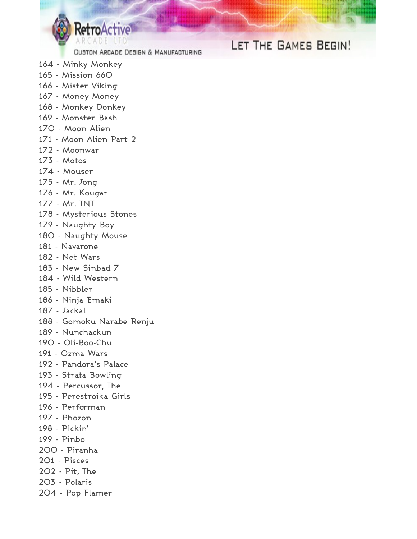CUSTOM ARCADE DESIGN & MANUFACTURING

- 164 Minky Monkey
- 165 Mission 660
- 166 Mister Viking
- 167 Money Money
- 168 Monkey Donkey
- 169 Monster Bash
- 170 Moon Alien
- 171 Moon Alien Part 2
- 172 Moonwar
- 173 Motos
- 174 Mouser
- 175 Mr. Jong
- 176 Mr. Kougar
- 177 Mr. TNT
- 178 Mysterious Stones
- 179 Naughty Boy
- 180 Naughty Mouse
- 181 Navarone
- 182 Net Wars
- 183 New Sinbad 7
- 184 Wild Western
- 185 Nibbler
- 186 Ninja Emaki
- 187 Jackal
- 188 Gomoku Narabe Renju
- 189 Nunchackun
- 190 Oli-Boo-Chu
- 191 Ozma Wars
- 192 Pandora's Palace
- 193 Strata Bowling
- 194 Percussor, The
- 195 Perestroika Girls
- 196 Performan
- 197 Phozon
- 198 Pickin'
- 199 Pinbo
- 200 Piranha
- 201 Pisces
- 202 Pit, The
- 203 Polaris
- 204 Pop Flamer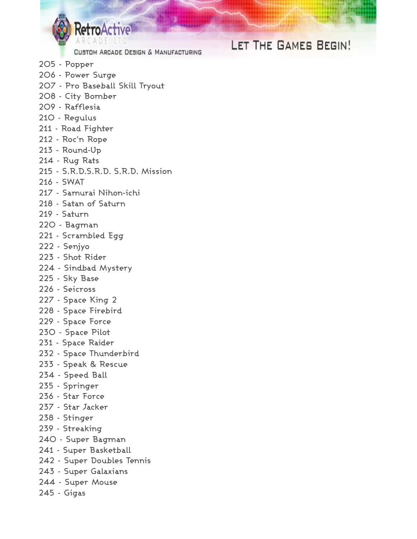

- 205 Popper
- 206 Power Surge
- 207 Pro Baseball Skill Tryout
- 208 City Bomber
- 209 Rafflesia
- 210 Regulus
- 211 Road Fighter
- 212 Roc'n Rope
- 213 Round-Up
- 214 Rug Rats
- 215 S.R.D.S.R.D. S.R.D. Mission
- 216 SWAT
- 217 Samurai Nihon-ichi
- 218 Satan of Saturn
- 219 Saturn
- 220 Bagman
- 221 Scrambled Egg
- 222 Senjyo
- 223 Shot Rider
- 224 Sindbad Mystery
- 225 Sky Base
- 226 Seicross
- 227 Space King 2
- 228 Space Firebird
- 229 Space Force
- 230 Space Pilot
- 231 Space Raider
- 232 Space Thunderbird
- 233 Speak & Rescue
- 234 Speed Ball
- 235 Springer
- 236 Star Force
- 237 Star Jacker
- 238 Stinger
- 239 Streaking
- 240 Super Bagman
- 241 Super Basketball
- 242 Super Doubles Tennis
- 243 Super Galaxians
- 244 Super Mouse
- 245 Gigas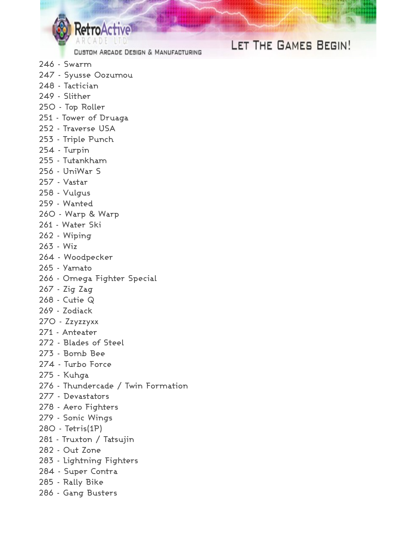CUSTOM ARCADE DESIGN & MANUFACTURING

- 246 Swarm
- 247 Syusse Oozumou
- 248 Tactician
- 249 Slither
- 250 Top Roller
- 251 Tower of Druaga
- 252 Traverse USA
- 253 Triple Punch
- 254 Turpin
- 255 Tutankham
- 256 UniWar S
- 257 Vastar
- 258 Vulgus
- 259 Wanted
- 260 Warp & Warp
- 261 Water Ski
- 262 Wiping
- 263 Wiz
- 264 Woodpecker
- 265 Yamato
- 266 Omega Fighter Special
- 267 Zig Zag
- 268 Cutie Q
- 269 Zodiack
- 270 Zzyzzyxx
- 271 Anteater
- 272 Blades of Steel
- 273 Bomb Bee
- 274 Turbo Force
- 275 Kuhga
- 276 Thundercade / Twin Formation
- 277 Devastators
- 278 Aero Fighters
- 279 Sonic Wings
- 280 Tetris(1P)
- 281 Truxton / Tatsujin
- 282 Out Zone
- 283 Lightning Fighters
- 284 Super Contra
- 285 Rally Bike
- 286 Gang Busters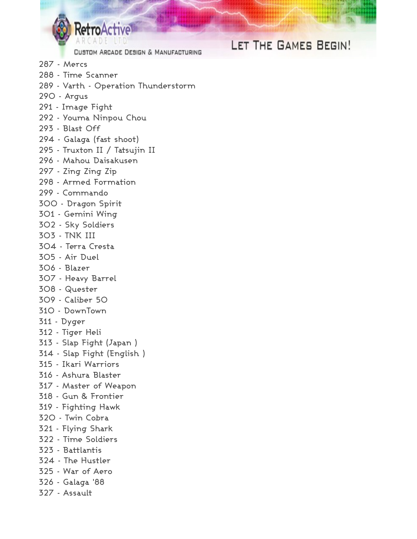

- 287 Mercs
- 288 Time Scanner
- 289 Varth Operation Thunderstorm
- 290 Argus
- 291 Image Fight
- 292 Youma Ninpou Chou
- 293 Blast Off
- 294 Galaga (fast shoot)
- 295 Truxton II / Tatsujin II
- 296 Mahou Daisakusen
- 297 Zing Zing Zip
- 298 Armed Formation
- 299 Commando
- 300 Dragon Spirit
- 301 Gemini Wing
- 302 Sky Soldiers
- 303 TNK III
- 304 Terra Cresta
- 305 Air Duel
- 306 Blazer
- 307 Heavy Barrel
- 308 Quester
- 309 Caliber 50
- 310 DownTown
- 311 Dyger
- 312 Tiger Heli
- 313 Slap Fight (Japan )
- 314 Slap Fight (English )
- 315 Ikari Warriors
- 316 Ashura Blaster
- 317 Master of Weapon
- 318 Gun & Frontier
- 319 Fighting Hawk
- 320 Twin Cobra
- 321 Flying Shark
- 322 Time Soldiers
- 323 Battlantis
- 324 The Hustler
- 325 War of Aero
- 326 Galaga '88
- 327 Assault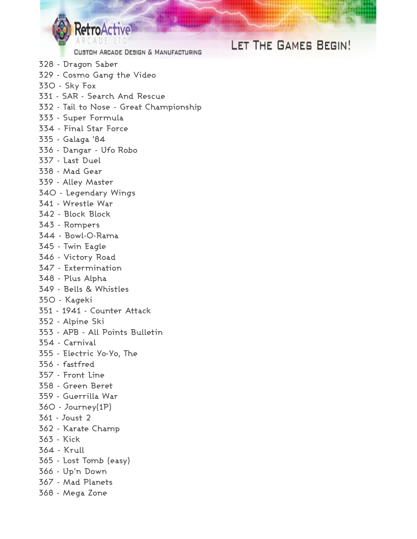CUSTOM ARCADE DESIGN & MANUFACTURING

- 328 Dragon Saber
- 329 Cosmo Gang the Video
- 330 Sky Fox
- 331 SAR Search And Rescue
- 332 Tail to Nose Great Championship
- 333 Super Formula
- 334 Final Star Force
- 335 Galaga '84
- 336 Dangar Ufo Robo
- 337 Last Duel
- 338 Mad Gear
- 339 Alley Master
- 340 Legendary Wings
- 341 Wrestle War
- 342 Block Block
- 343 Rompers
- 344 Bowl-O-Rama
- 345 Twin Eagle
- 346 Victory Road
- 347 Extermination
- 348 Plus Alpha
- 349 Bells & Whistles
- 350 Kageki
- 351 1941 Counter Attack
- 352 Alpine Ski
- 353 APB All Points Bulletin
- 354 Carnival
- 355 Electric Yo-Yo, The
- 356 fastfred
- 357 Front Line
- 358 Green Beret
- 359 Guerrilla War
- 360 Journey(1P)
- 361 Joust 2
- 362 Karate Champ
- 363 Kick
- 364 Krull
- 365 Lost Tomb (easy)
- 366 Up'n Down
- 367 Mad Planets
- 368 Mega Zone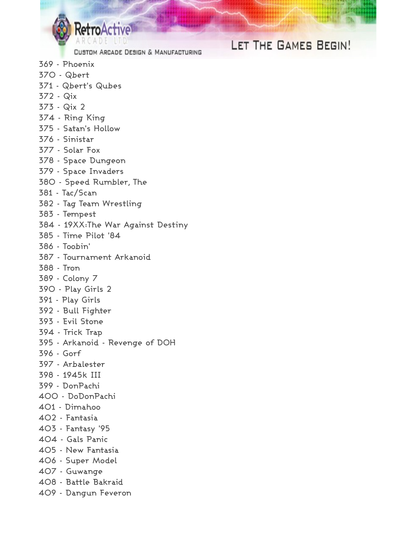CUSTOM ARCADE DESIGN & MANUFACTURING

- 369 Phoenix
- 370 Qbert
- 371 Qbert's Qubes
- 372 Qix
- 373 Qix 2
- 374 Ring King
- 375 Satan's Hollow
- 376 Sinistar
- 377 Solar Fox
- 378 Space Dungeon
- 379 Space Invaders
- 380 Speed Rumbler, The
- 381 Tac/Scan
- 382 Tag Team Wrestling
- 383 Tempest
- 384 19XX:The War Against Destiny
- 385 Time Pilot '84
- 386 Toobin'
- 387 Tournament Arkanoid
- 388 Tron
- 389 Colony 7
- 390 Play Girls 2
- 391 Play Girls
- 392 Bull Fighter
- 393 Evil Stone
- 394 Trick Trap
- 395 Arkanoid Revenge of DOH
- 396 Gorf
- 397 Arbalester
- 398 1945k III
- 399 DonPachi
- 400 DoDonPachi
- 401 Dimahoo
- 402 Fantasia
- 403 Fantasy '95
- 404 Gals Panic
- 405 New Fantasia
- 406 Super Model
- 407 Guwange
- 408 Battle Bakraid
- 409 Dangun Feveron